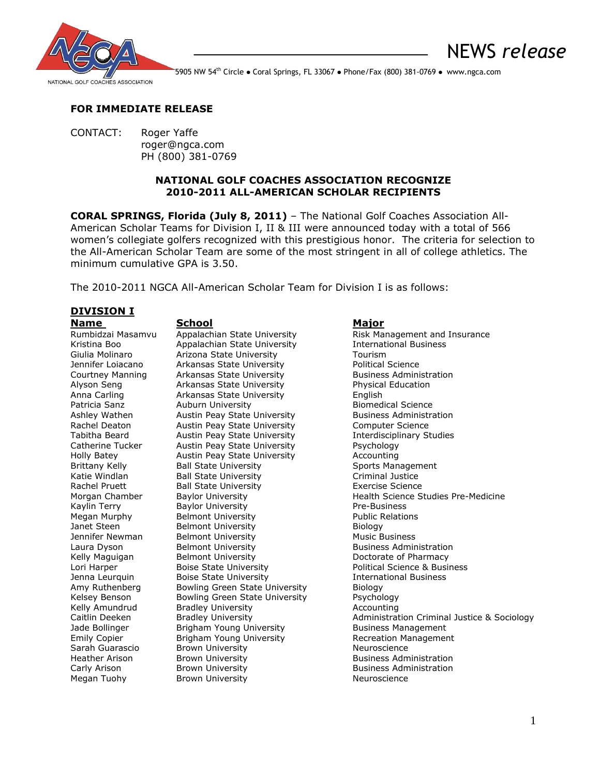

NEWS *release*

5905 NW 54<sup>th</sup> Circle • Coral Springs, FL 33067 • Phone/Fax (800) 381-0769 • www.ngca.com

# **FOR IMMEDIATE RELEASE**

CONTACT: Roger Yaffe roger@ngca.com PH (800) 381-0769

# **NATIONAL GOLF COACHES ASSOCIATION RECOGNIZE 2010-2011 ALL-AMERICAN SCHOLAR RECIPIENTS**

**CORAL SPRINGS, Florida (July 8, 2011)** – The National Golf Coaches Association All-American Scholar Teams for Division I, II & III were announced today with a total of 566 women's collegiate golfers recognized with this prestigious honor. The criteria for selection to the All-American Scholar Team are some of the most stringent in all of college athletics. The minimum cumulative GPA is 3.50.

The 2010-2011 NGCA All-American Scholar Team for Division I is as follows:

# **DIVISION I**

Megan Tuohy **Brown University** Neuroscience Neuroscience

**Name School Major** Kristina Boo Appalachian State University Giulia Molinaro Arizona State University Tourism Jennifer Loiacano **Arkansas State University Political Science** Courtney Manning Arkansas State University **Business Administration** Alyson Seng Arkansas State University Physical Education Anna Carling Arkansas State University English Auburn University<br>
Austin Peav State University<br>
Business Administration Ashley Wathen **Austin Peay State University** Business Administration and Austin Peay State University **Business Administration** Austin Peay State University Tabitha Beard **Austin Peay State University** Interdisciplinary Studies<br>
Catherine Tucker Austin Peay State University **Paychology** Catherine Tucker Austin Peay State University Holly Batey **Austin Peay State University** Accounting Brittany Kelly **Ball State University** Sports Management Katie Windlan **Ball State University** Criminal Justice Rachel Pruett **Ball State University Exercise Science** Kaylin Terry **Baylor University Pre-Business** Megan Murphy Belmont University **Public Relations** Janet Steen Belmont University Biology Jennifer Newman Belmont University **Music Business** Laura Dyson **Belmont University Business Administration** Kelly Maguigan Belmont University **Brown By Accommon Belmont University** Brown Bootorate of Pharmacy Lori Harper **Boise State University Political Science & Business** Jenna Leurquin Boise State University International Business Amy Ruthenberg Bowling Green State University Biology Kelsey Benson Bowling Green State University Psychology Kelly Amundrud Bradley University **Accounting** Accounting Jade Bollinger **Brigham Young University** Business Management Emily Copier Brigham Young University Recreation Management Sarah Guarascio Brown University Neuroscience Heather Arison **Brown University Business Administration** Carly Arison **Brown University Business Administration** 

Rumbidzai Masamvu Appalachian State University Risk Management and Insurance Kristina Business Morgan Chamber and Baylor University and Health Science Studies Pre-Medicine Caitlin Deeken Bradley University **Administration Criminal Justice & Sociology**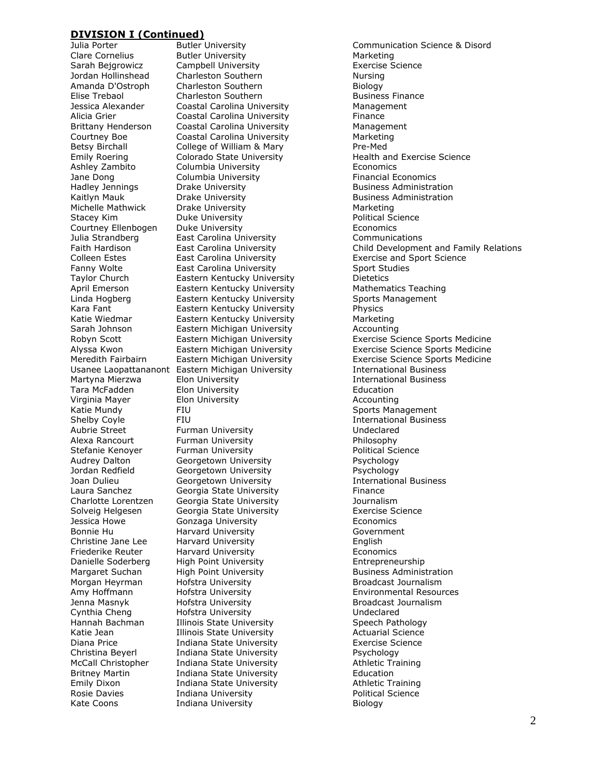Jane Dong Columbia University Michelle Mathwick Drake University

Butler University **Marketing** Sarah Bejgrowicz Campbell University **Exercise Science** Jordan Hollinshead Charleston Southern Nursing Amanda D'Ostroph Charleston Southern Biology Elise Trebaol **Charleston Southern Business Finance** Jessica Alexander Coastal Carolina University Management Alicia Grier **Coastal Carolina University** Finance Brittany Henderson Coastal Carolina University Management Courtney Boe Coastal Carolina University Marketing Betsy Birchall **College of William & Mary Pre-Med Columbia University Columbia University** Economics<br>
Columbia University **Example 2** Financial Economics Hadley Jennings Drake University **Business Administration** Kaitlyn Mauk **Drake University Lack Communistration**<br>Michelle Mathwick Drake University **Business Administration** Stacey Kim **Duke University Duke University Political Science** Courtney Ellenbogen Duke University Economics Julia Strandberg East Carolina University Communications Fanny Wolte **East Carolina University** Sport Studies Taylor Church Eastern Kentucky University Dietetics April Emerson **Eastern Kentucky University** Mathematics Teaching Linda Hogberg Eastern Kentucky University Sports Management Kara Fant **Eastern Kentucky University** Physics Katie Wiedmar Eastern Kentucky University Marketing Sarah Johnson Eastern Michigan University Accounting Usanee Laopattananont Eastern Michigan University International Business Martyna Mierzwa Elon University International Business Tara McFadden **Elon University** Elon Education Virginia Mayer Elon University Accounting Shelby Coyle FIU FIU **International Business** Aubrie Street Furman University **Furman University** Mudeclared Alexa Rancourt Furman University Philosophy Stefanie Kenover Furman University **Furman Interval Construct** Political Science Audrey Dalton Georgetown University Psychology Jordan Redfield Georgetown University Psychology Georgetown University Laura Sanchez **Georgia State University** Finance Charlotte Lorentzen Georgia State University Journalism Solveig Helgesen Georgia State University Exercise Science Jessica Howe Gonzaga University Economics Bonnie Hu Harvard University Government Christine Jane Lee Harvard University English Friederike Reuter Harvard University Economics Danielle Soderberg High Point University Entrepreneurship Margaret Suchan High Point University **Business Administration** Morgan Heyrman Hofstra University **Broadcast Journalism** Amy Hoffmann Hofstra University Environmental Resources Jenna Masnyk and Hofstra University and Broadcast Journalism Cynthia Cheng Hofstra University Undeclared Hannah Bachman Illinois State University Speech Pathology<br>
Katie Jean Illinois State University School Actuarial Science Illinois State University **Actuarial Science** Diana Price **Indiana State University** Exercise Science Christina Beyerl Indiana State University Psychology Indiana State University **Athletic Training** Britney Martin **Indiana State University Communist Container** Education Communist Communist Communist Communist<br>
State University Communist Communist Communist Communist Communist Communist Communist Communist Communist Co Emily Dixon Indiana State University Rosie Davies **Indiana University Political Science** Kate Coons **Indiana University Example 20** Biology

Julia Porter Butler University Communication Science & Disord Emily Roering Colorado State University Health and Exercise Science Faith Hardison East Carolina University Child Development and Family Relations Colleen Estes East Carolina University Exercise and Sport Science Robyn Scott **Eastern Michigan University** Exercise Science Sports Medicine Alyssa Kwon Eastern Michigan University Exercise Science Sports Medicine Meredith Fairbairn Eastern Michigan University Exercise Science Sports Medicine Sports Management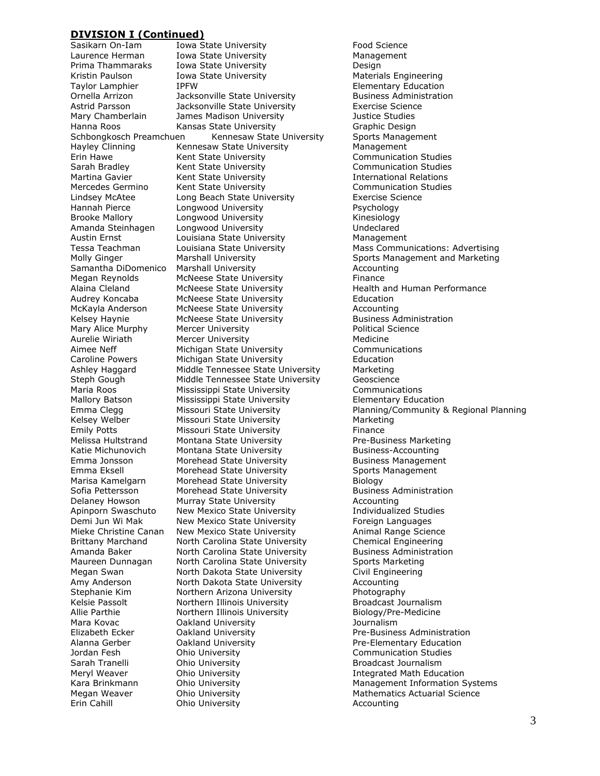Kristin Paulson Iowa State University Brooke Mallory **Longwood University** 

Sasikarn On-Iam Iowa State University Food Science Laurence Herman Iowa State University **Management** Prima Thammaraks Iowa State University Design Taylor Lamphier The Music Chementary Education<br>19 Travilla Arrizon Crue Dacksonville State University The Business Administration Jackson ville State University Astrid Parsson Jacksonville State University Exercise Science Mary Chamberlain James Madison University Justice Studies Hanna Roos **Kansas State University** Graphic Design Schbongkosch Preamchuen Kennesaw State University Sports Management Hayley Clinning **Kennesaw State University** Management Erin Hawe **Kent State University** Communication Studies<br>
Sarah Bradlev Kent State University **Communication Studies** Sarah Bradley Kent State University Communication Studies Kent State University Mercedes Germino Kent State University **Communication Studies** Lindsey McAtee Long Beach State University Exercise Science Hannah Pierce Longwood University Psychology Amanda Steinhagen Longwood University Undeclared Austin Ernst **Louisiana State University** Management Samantha DiDomenico Marshall University **Accounting** Accounting Megan Reynolds McNeese State University Finance Alaina Cleland McNeese State University **Health and Human Performance** Audrey Koncaba McNeese State University Education McKayla Anderson McNeese State University McKayla Accounting Kelsey Haynie **McNeese State University Business Administration** Mary Alice Murphy Mercer University **Mary Alice Murphy** Mercer University **Political Science** Aurelie Wiriath Mercer University Medicine Aimee Neff Michigan State University Communications Caroline Powers Michigan State University Education Ashley Haggard Middle Tennessee State University Marketing Steph Gough Middle Tennessee State University Geoscience Maria Roos Mississippi State University Communications Mallory Batson Mississippi State University **Elementary Education**<br>
Elementary Education<br>
Emma Clegg Missouri State University **Elementary Planning/Community &** Kelsey Welber Missouri State University Marketing Emily Potts **Missouri State University** Finance Melissa Hultstrand Montana State University **Pre-Business Marketing** Katie Michunovich Montana State University Business-Accounting Emma Jonsson Morehead State University Business Management Emma Eksell **Morehead State University** Sports Management Marisa Kamelgarn Morehead State University Biology Sofia Pettersson Morehead State University **Business Administration** Delaney Howson Murray State University Manus Accounting Apinporn Swaschuto New Mexico State University Individualized Studies Demi Jun Wi Mak New Mexico State University Foreign Languages Mieke Christine Canan New Mexico State University **Animal Range Science Brittany Marchand** North Carolina State University Chemical Engineering North Carolina State University Chemical Engineering Amanda Baker **North Carolina State University** Business Administration Maureen Dunnagan Morth Carolina State University Sports Marketing Megan Swan North Dakota State University Civil Engineering Amy Anderson North Dakota State University Accounting Stephanie Kim **Northern Arizona University** Photography Kelsie Passolt **Northern Illinois University** Broadcast Journalism Allie Parthie Northern Illinois University Biology/Pre-Medicine Mara Kovac Oakland University Journalism Elizabeth Ecker **Cakland University Pre-Business Administration** Alanna Gerber Oakland University Pre-Elementary Education Ohio University **Communication Studies** Sarah Tranelli **Sarah Tranelli** Ohio University **Broadcast Journalism** Broadcast Journalism Meryl Weaver **Ohio University Integrated Math Education** Megan Weaver **Mathematics Actuarial Science** Mathematics Actuarial Science Erin Cahill **Cancel Communists** Ohio University **Accounting** Accounting

Tessa Teachman Louisiana State University Mass Communications: Advertising Molly Ginger **Marshall University** Sports Management and Marketing Missouri State University **Planning/Community & Regional Planning** Kara Brinkmann Ohio University Management Information Systems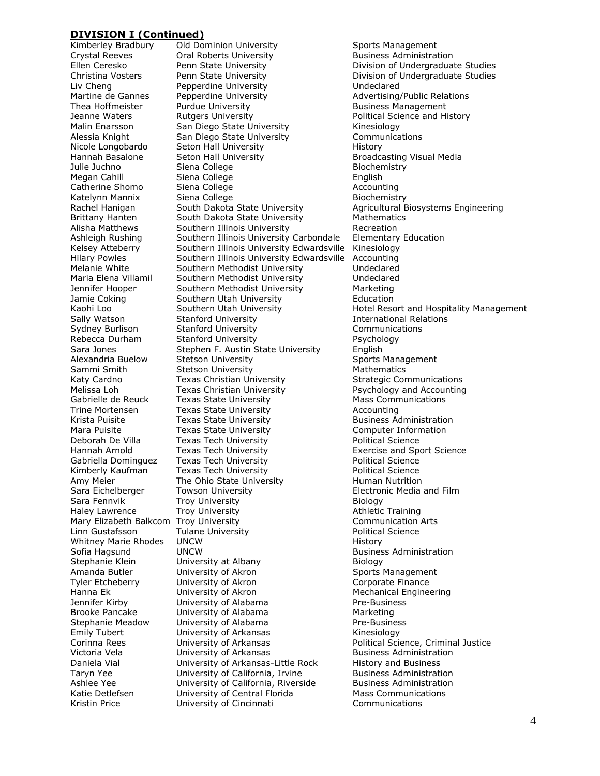Crystal Reeves Oral Roberts University Whitney Marie Rhodes UNCW Emily Tubert **University of Arkansas**<br>Corinna Rees **Munimizity of Arkansas** 

Kimberley Bradbury Old Dominion University Sports Management<br>Crystal Reeves Oral Roberts University Business Administration Liv Cheng **Pepperdine University**<br>
Martine de Gannes Pepperdine University **Advertising** Pepperdine University **Advertising/Public Relations** Thea Hoffmeister **Purdue University Business Management** Jeanne Waters **Rutgers University Political Science and History Provisional Access** Malin Enarsson San Diego State University San Kinesiology Alessia Knight San Diego State University Communications Nicole Longobardo Seton Hall University History Hannah Basalone Seton Hall University **Broadcasting Visual Media**<br>
Julie Juchno Siena College Biochemistry Biochemistry Julie Juchno Siena College Biochemistry Siena College **English** Catherine Shomo Siena College **Accounting** Accounting Katelynn Mannix Siena College **Biochemistry** Brittany Hanten South Dakota State University Mathematics Alisha Matthews Southern Illinois University **Recreation** Ashleigh Rushing Southern Illinois University Carbondale Elementary Education Kelsey Atteberry Southern Illinois University Edwardsville Kinesiology Hilary Powles Southern Illinois University Edwardsville Accounting Melanie White Southern Methodist University Sundeclared<br>
Maria Elena Villamil Southern Methodist University Sundeclared Southern Methodist University **Undeclared** Jennifer Hooper Southern Methodist University Marketing Jamie Coking **Southern Utah University Education** Sally Watson **Stanford University Stanford University International Relations** Sydney Burlison Stanford University Communications Rebecca Durham Stanford University **Provident Contains Accord Provident** Psychology Sara Jones Stephen F. Austin State University English Alexandria Buelow Stetson University Sports Management Sammi Smith Stetson University Mathematics Mathematics Katy Cardno **Texas Christian University** Strategic Communications Melissa Loh Texas Christian University Psychology and Accounting Gabrielle de Reuck Texas State University **Mass Communications**<br>Trine Mortensen Texas State University **Mass Accounting** Texas State University Krista Puisite Texas State University The Business Administration Mara Puisite Texas State University Texas Computer Information Deborah De Villa **Texas Tech University Texas Tech University Political Science** Hannah Arnold Texas Tech University Exercise and Sport Science Gabriella Dominguez Texas Tech University **Political Science** Kimberly Kaufman Texas Tech University **Political Science** Amy Meier The Ohio State University Human Nutrition Sara Eichelberger Towson University **Electronic Media and Film** Sara Fennvik Troy University Trouble Biology Haley Lawrence Troy University **Athletic Training** Mary Elizabeth Balkcom Troy University **Communication Arts** Communication Arts<br>
Linn Gustafsson Culane University Communication Science Tulane University **Example 2** Political Science<br>
UNCW History Sofia Hagsund **UNCW Business Administration Business Administration** Stephanie Klein University at Albany Biology Amanda Butler **Container University of Akron** Sports Management Tyler Etcheberry **University of Akron** Corporate Finance Hanna Ek **University of Akron** Mechanical Engineering Jennifer Kirby **University of Alabama** Pre-Business Brooke Pancake University of Alabama Marketing Stephanie Meadow University of Alabama Pre-Business<br>
Emily Tubert Chiversity of Arkansas Communisties (Rinesiology Corinna Rees University of Arkansas Political Science, Criminal Justice Victoria Vela **Business** University of Arkansas **Business Administration** Daniela Vial **Startuge University of Arkansas-Little Rock** History and Business<br>
Taryn Yee **Manual Contract University of California**, Irvine Business Administration Taryn Yee **Taryn Yee** University of California, Irvine Business Administration<br>Ashlee Yee Business Administration Ashlee Yee **University of California, Riverside** Katie Detlefsen **Mathemory University of Central Florida** Mass Communications Kristin Price University of Cincinnati Communications

Ellen Ceresko **Penn State University Division of Undergraduate Studies** Christina Vosters **Penn State University Christian Division of Undergraduate Studies** Rachel Hanigan South Dakota State University **Agricultural Biosystems Engineering** Kaohi Loo Southern Utah University Hotel Resort and Hospitality Management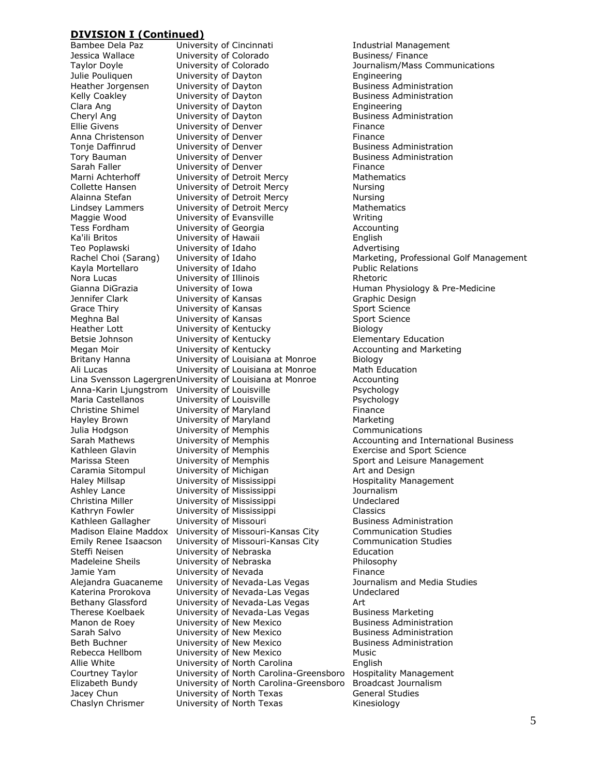Bambee Dela Paz **Iniversity of Cincinnati** Industrial Management Jessica Wallace **University of Colorado** Business/ Finance Taylor Doyle University of Colorado Journalism/Mass Communications Julie Pouliquen **State Couling University of Dayton** Engineering Engineering Engineering Couling University of Dayton Engineering Business Administration Heather Jorgensen University of Dayton Kelly Coakley **Example 2** University of Dayton **Business Administration** Clara Ang University of Dayton Engineering Cheryl Ang Cheryl Ang University of Dayton Cheryl Angles Administration Ellie Givens **Ellie Civens** University of Denver **Finance** Anna Christenson **Example 20 University of Denver** Finance Tonje Daffinrud **University of Denver Business Administration** Tory Bauman **The University of Denver Business Administration**<br>
Sarah Faller **Business** University of Denver **Business** Finance Sarah Faller **Sarah Faller** University of Denver **Finance** Finance **Mathematics** Mathematics University of Detroit Mercy Collette Hansen **University of Detroit Mercy** Nursing Alainna Stefan **University of Detroit Mercy** Nursing Lindsey Lammers **University of Detroit Mercy** Mathematics Maggie Wood **University of Evansville** Measurement Writing Tess Fordham **Indianal University of Georgia** Accounting Ka'ili Britos **English** University of Hawaii **English** Teo Poplawski **Mathem University of Idaho** Mathem Advertising Kayla Mortellaro **Music University of Idaho Public Relations** Nora Lucas **Example 2** University of Illinois **Rhetoric** Rhetoric Gianna DiGrazia **Muniversity of Iowa Human Physiology & Pre-Medicine** Jennifer Clark **University of Kansas** Graphic Design Grace Thiry **Subsetty Of Contains Containersity of Kansas** Sport Science Meghna Bal **Iniversity of Kansas** Sport Science Heather Lott **University of Kentucky** Biology Betsie Johnson **University of Kentucky Elementary Education** Megan Moir **Marketing** University of Kentucky **Accounting and Marketing** Britany Hanna University of Louisiana at Monroe Biology Ali Lucas University of Louisiana at Monroe Math Education Lina Svensson LagergrenUniversity of Louisiana at Monroe Accounting Anna-Karin Ljungstrom University of Louisville Psychology Maria Castellanos University of Louisville Psychology University of Maryland Finance Hayley Brown **University of Maryland** Marketing Julia Hodgson **University of Memphis** Communications Kathleen Glavin University of Memphis Exercise and Sport Science Marissa Steen **State University of Memphis** Sport and Leisure Management Caramia Sitompul University of Michigan Art and Design Haley Millsap **University of Mississippi Hospitality Management** Ashley Lance **University of Mississippi** Journalism Christina Miller University of Mississippi Undeclared Kathryn Fowler **University of Mississippi** Classics Kathleen Gallagher University of Missouri Business Administration Madison Elaine Maddox University of Missouri-Kansas City Communication Studies Emily Renee Isaacson University of Missouri-Kansas City Communication Studies Steffi Neisen University of Nebraska Education Madeleine Sheils **University of Nebraska** Philosophy Jamie Yam **University of Nevada** Finance Alejandra Guacaneme University of Nevada-Las Vegas Journalism and Media Studies Katerina Prorokova University of Nevada-Las Vegas Undeclared Bethany Glassford University of Nevada-Las Vegas Art Therese Koelbaek University of Nevada-Las Vegas Business Marketing Manon de Roey **University of New Mexico** Business Administration Sarah Salvo University of New Mexico Business Administration Beth Buchner Beth Buchner University of New Mexico Rebecca Hellbom University of New Mexico Music Allie White Community of North Carolina English<br>Courtney Taylor Conversity of North Carolina-Greensboro Hospitality Management Courtney Taylor University of North Carolina-Greensboro Elizabeth Bundy University of North Carolina-Greensboro Broadcast Journalism Jacey Chun **University of North Texas** General Studies Chaslyn Chrismer **University of North Texas** Kinesiology

Rachel Choi (Sarang) University of Idaho Marketing, Professional Golf Management Sarah Mathews **Iniversity of Memphis** Accounting and International Business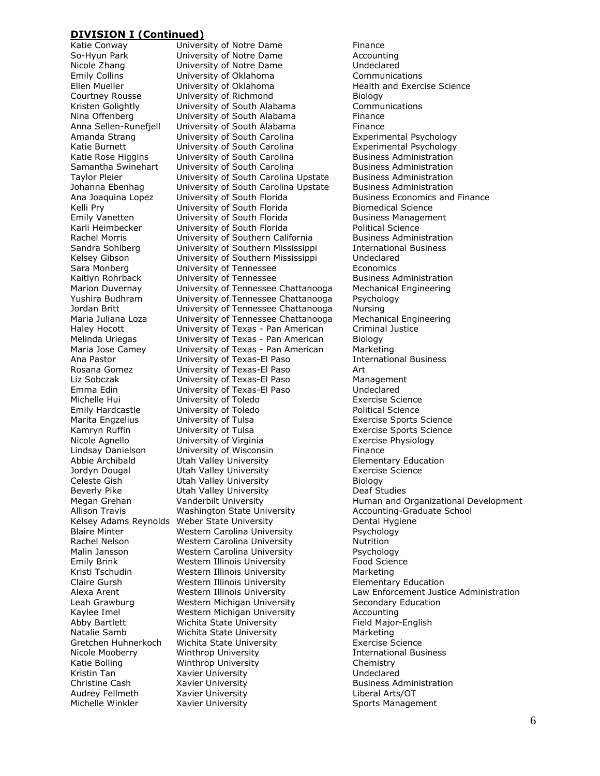Katie Bolling Winthrop University

Katie Conway **Example 2** University of Notre Dame So-Hyun Park **University of Notre Dame** Accounting Nicole Zhang University of Notre Dame Undeclared Emily Collins **Communications**<br>
Ellen Mueller **Communications**<br>
University of Oklahoma Charles Health and Exerc Ellen Mueller **Numbers** University of Oklahoma **Health and Exercise Science** Courtney Rousse University of Richmond Biology Kristen Golightly University of South Alabama Communications Nina Offenberg **Indiana** University of South Alabama **Finance** Anna Sellen-Runefjell University of South Alabama Finance Amanda Strang The University of South Carolina The Experimental Psychology Katie Burnett **University of South Carolina** Experimental Psychology Katie Rose Higgins University of South Carolina Business Administration<br>
Samantha Swinehart University of South Carolina Business Administration Samantha Swinehart University of South Carolina **Business Administration**<br>Taylor Pleier **Business Administration** University of South Carolina Upstate Johanna Ebenhag **University of South Carolina Upstate** Business Administration Ana Joaquina Lopez University of South Florida Business Economics and Finance<br>
Kelli Prv Business University of South Florida Biomedical Science University of South Florida Biomedical Science Emily Vanetten **Emily Vanet Contains Contains Contains Contains Contains Contains Contains Contains Management** Karli Heimbecker **University of South Florida** Political Science Rachel Morris University of Southern California Business Administration Sandra Sohlberg **University of Southern Mississippi** International Business Kelsey Gibson University of Southern Mississippi Undeclared Sara Monberg **Example 20** University of Tennessee **Economics** Economics Kaitlyn Rohrback **University of Tennessee** Business Administration Marion Duvernay University of Tennessee Chattanooga Mechanical Engineering Yushira Budhram University of Tennessee Chattanooga Psychology Jordan Britt University of Tennessee Chattanooga Nursing Maria Juliana Loza University of Tennessee Chattanooga Mechanical Engineering Haley Hocott University of Texas - Pan American Criminal Justice Melinda Uriegas University of Texas - Pan American Biology Maria Jose Camey University of Texas - Pan American Marketing Ana Pastor **Edge University of Texas-El Paso International Business** Rosana Gomez University of Texas-El Paso Art Liz Sobczak University of Texas-El Paso Management Emma Edin University of Texas-El Paso Undeclared Michelle Hui University of Toledo Exercise Science University of Toledo Marita Engzelius **Exercise Sports Science** University of Tulsa **Exercise Sports Science** Kamryn Ruffin **Exercise** University of Tulsa **Exercise Sports** Science Nicole Agnello University of Virginia Exercise Physiology Lindsay Danielson University of Wisconsin Finance Abbie Archibald Utah Valley University Elementary Education Jordyn Dougal Utah Valley University Exercise Science Celeste Gish **Utah Valley University** Celeste Gish Biology Beverly Pike **Utah Valley University** Deaf Studies Allison Travis **Mashington State University** Accounting-Graduate School Kelsey Adams Reynolds Weber State University Theorem 2011 Dental Hygiene Blaire Minter Western Carolina University Psychology Rachel Nelson **Western Carolina University** Mutrition Malin Jansson Western Carolina University Psychology Emily Brink Western Illinois University Food Science Kristi Tschudin Western Illinois University Marketing Claire Gursh Western Illinois University Elementary Education Leah Grawburg **Western Michigan University** Secondary Education Kaylee Imel **Western Michigan University** Accounting Abby Bartlett **Wichita State University Field Major-English** Natalie Samb **Wichita State University** Marketing Gretchen Huhnerkoch Wichita State University Exercise Science Nicole Mooberry Winthrop University International Business Kristin Tan **Xavier University William Strategier Media** Undeclared Christine Cash **Xavier University Business Administration Business Administration** Audrey Fellmeth Xavier University Liberal Arts/OT Michelle Winkler **Saxier University** Sports Management

Megan Grehan **Vanderbilt University** Human and Organizational Development Alexa Arent Western Illinois University Law Enforcement Justice Administration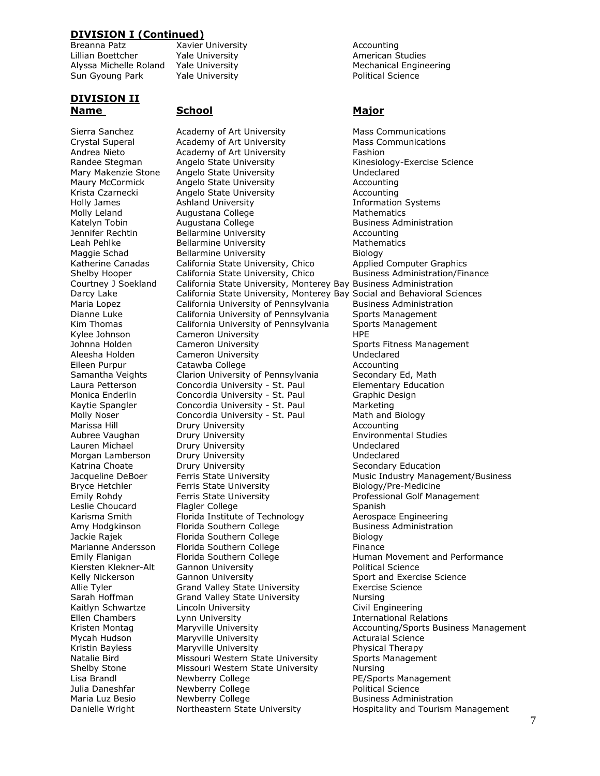Breanna Patz Xavier University Accounting Lillian Boettcher **Manual Yale University** Manual American Studies Sun Gyoung Park Yale University **Provide Science** Political Science

# **DIVISION II Name School Major**

Sierra Sanchez Academy of Art University Mass Communications Crystal Superal Academy of Art University Mass Communications Andrea Nieto **Academy of Art University** Fashion Randee Stegman Angelo State University **Kinesiology-Exercise Science** Mary Makenzie Stone Angelo State University **Mary Makenal** Undeclared Maury McCormick Angelo State University Accounting Krista Czarnecki angelo State University and Accounting Holly James **Ashland University Ashland University Information Systems** Molly Leland **Augustana College** Mathematics Mathematics Katelyn Tobin **Augustana College Business Administration** Jennifer Rechtin Bellarmine University Accounting Leah Pehlke **Bellarmine University** Mathematics Maggie Schad Bellarmine University Biology Katherine Canadas California State University, Chico Applied Computer Graphics Shelby Hooper **California State University, Chico** Business Administration/Finance Courtney J Soekland California State University, Monterey Bay Business Administration California State University, Monterey Bay Business Administration Darcy Lake California State University, Monterey Bay Social and Behavioral Sciences Maria Lopez California University of Pennsylvania Business Administration Dianne Luke California University of Pennsylvania Sports Management Kim Thomas California University of Pennsylvania Sports Management Kylee Johnson Cameron University The Supersylve HPE Johnna Holden **Cameron University** Sports Fitness Management Aleesha Holden Cameron University Undeclared Eileen Purpur Catawba College **Accounting** Catawba College Samantha Veights Clarion University of Pennsylvania Secondary Ed, Math Laura Petterson Concordia University - St. Paul Elementary Education Monica Enderlin Concordia University - St. Paul Graphic Design Kaytie Spangler Concordia University - St. Paul Marketing<br>
Molly Noser Concordia University - St. Paul Math and Biology Molly Noser Concordia University - St. Paul Marissa Hill Drury University Accounting Aubree Vaughan Drury University Environmental Studies Lauren Michael **Drury University Example 20 Servers** Undeclared Morgan Lamberson Drury University **Norgan Lamberson** Drury University Katrina Choate **Drury University** Chronic Secondary Education Bryce Hetchler **Ferris State University Example 20 Biology/Pre-Medicine** Emily Rohdy **Ferris State University Ferris State University** Professional Golf Management Leslie Choucard Flagler College Contract Spanish Karisma Smith Florida Institute of Technology Aerospace Engineering Amy Hodgkinson Florida Southern College The Business Administration Jackie Rajek Florida Southern College Florida Southern College Finance<br>Marianne Andersson Florida Southern College Finance Florida Southern College Finance Emily Flanigan Florida Southern College Full and Movement and Performance Kiersten Klekner-Alt Gannon University **Alta Constants Constants Constants Constants Constants Constants Constant** Kelly Nickerson **Gannon University** Sport and Exercise Science Allie Tyler Grand Valley State University Exercise Science Sarah Hoffman Grand Valley State University Nursing Kaitlyn Schwartze Lincoln University **Civil Engineering** Ellen Chambers Lynn University International Relations Mycah Hudson **Maryville University** Maryon Martha Acturaial Science Kristin Bayless Maryville University **Maryon** Physical Therapy Natalie Bird Missouri Western State University Sports Management Shelby Stone Missouri Western State University Nursing Lisa Brandl **Newberry College PE/Sports Management** Julia Daneshfar Mewberry College **Political Science** Political Science Maria Luz Besio Newberry College Business Administration Danielle Wright **Northeastern State University** Hospitality and Tourism Management

Alyssa Michelle Roland Yale University Mechanical Engineering

Jacqueline DeBoer Ferris State University Music Industry Management/Business Kristen Montag Maryville University **Accounting/Sports Business Management**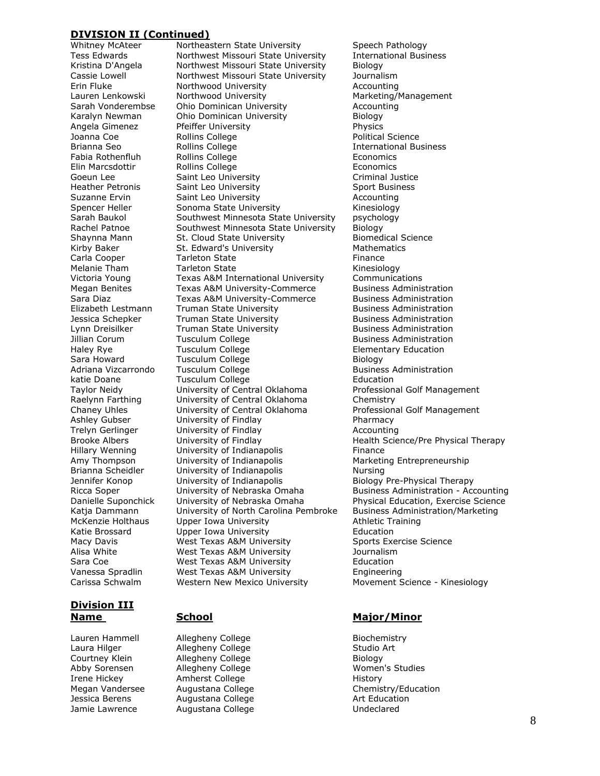Goeun Lee Saint Leo University Carissa Schwalm Western New Mexico University Movement Science - Kinesiology

# **Division III**

Lauren Hammell allegheny College and Biochemistry<br>
Laura Hilger and Allegheny College and Studio Art Courtney Klein Allegheny College Abby Sorensen Allegheny College Manuel Momen's Studies Irene Hickey **Amherst College** History Jessica Berens **Augustana College** Art Education Jamie Lawrence Augustana College Contract Controller Undeclared

Whitney McAteer and Mortheastern State University and Speech Pathology<br>Tess Edwards and Morthwest Missouri State University and International Business Tess Edwards Northwest Missouri State University Kristina D'Angela Northwest Missouri State University Biology Cassie Lowell Northwest Missouri State University Journalism Erin Fluke **Northwood University Accounting** Lauren Lenkowski Morthwood University Manus Marketing/Management Sarah Vonderembse Ohio Dominican University Accounting Karalyn Newman Ohio Dominican University Biology Angela Gimenez Pfeiffer University Physics Joanna Coe **Rollins College Political Science** Brianna Seo **International Business** Rollins College **International Business** Fabia Rothenfluh Rollins College The Economics Elin Marcsdottir **Elin Rollins College Economics**<br>Goeun Lee Saint Leo University **Eline College College Exemple** Criminal Justice Heather Petronis Saint Leo University Sport Business Suzanne Ervin Saint Leo University Accounting Spencer Heller Sonoma State University Sarah Baukol Southwest Minnesota State University psychology Rachel Patnoe Southwest Minnesota State University Biology Shaynna Mann St. Cloud State University Biomedical Science Kirby Baker **St. Edward's University** Mathematics Carla Cooper **Tarleton State Tarleton State Finance** Melanie Tham Tarleton State **Melanie Tham** Tarleton State Victoria Young Texas A&M International University Communications Megan Benites Texas A&M University-Commerce Business Administration Sara Diaz Texas A&M University-Commerce Business Administration Elizabeth Lestmann Truman State University Business Administration Jessica Schepker Truman State University **Business Administration** Lynn Dreisilker **Truman State University Business Administration** Jillian Corum Tusculum College **Business Administration** Haley Rye **Tusculum College Elementary Education** Sara Howard **Tusculum College Tusculum College Biology** Adriana Vizcarrondo Tusculum College **Business Administration** katie Doane Tusculum College The Education Taylor Neidy University of Central Oklahoma Professional Golf Management Raelynn Farthing University of Central Oklahoma Chemistry<br>
Chaney Uhles Chaney University of Central Oklahoma Profession University of Central Oklahoma Professional Golf Management Ashley Gubser **University of Findlay Pharmacy** Trelyn Gerlinger **Manufor University of Findlay Accounting** Brooke Albers **Example 2** University of Findlay **Health Science/Pre Physical Therapy** Hillary Wenning **University of Indianapolis** Finance Amy Thompson **University of Indianapolis** Marketing Entrepreneurship Brianna Scheidler **University of Indianapolis** Mursing Jennifer Konop University of Indianapolis Biology Pre-Physical Therapy Ricca Soper **Iniversity of Nebraska Omaha** Business Administration - Accounting Danielle Suponchick University of Nebraska Omaha Physical Education, Exercise Science Danielle Suponchick University of Nebraska Omaha Physical Education, Exercise Science Katja Dammann University of North Carolina Pembroke Business Administration/Marketing McKenzie Holthaus Upper Iowa University **Athletic Training** Katie Brossard Upper Iowa University Education Macy Davis **Macy Davis** West Texas A&M University **Sports Exercise Science** Alisa White West Texas A&M University Journalism Sara Coe West Texas A&M University Education Vanessa Spradlin West Texas A&M University Engineering

# **Name School Major/Minor**

Allegheny College Studio Art<br>Allegheny College Studio Biology Megan Vandersee Augustana College Chemistry/Education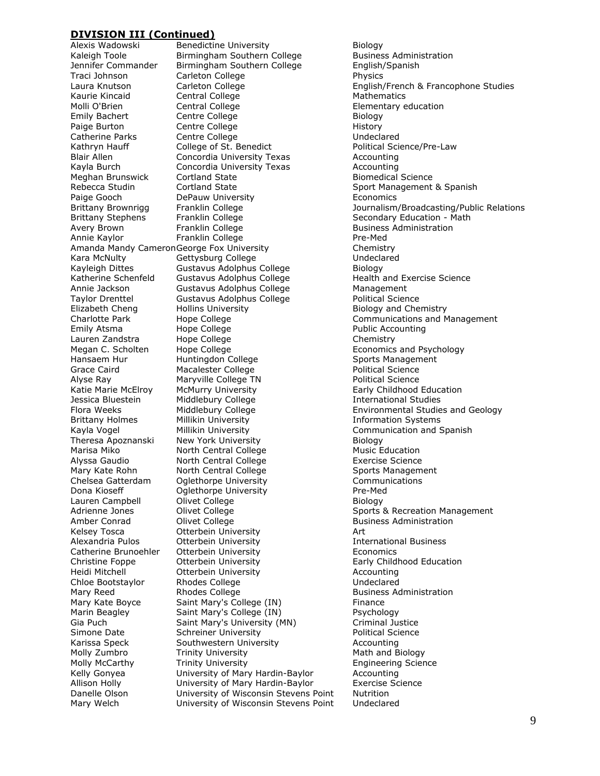Theresa Apoznanski New York University

Alexis Wadowski Benedictine University<br>Kaleigh Toole Birmingham Southern College Busines Birmingham Southern College Business Administration Jennifer Commander Birmingham Southern College English/Spanish Traci Johnson Carleton College Carleton College Kaurie Kincaid Central College Contral College Mathematics Molli O'Brien Central College Elementary education Emily Bachert Centre College **Biology** Paige Burton **Centre College Contract College History** Catherine Parks Centre College Context College Catherine Parks Kathryn Hauff **College of St. Benedict** Political Science/Pre-Law Blair Allen Concordia University Texas Accounting<br>
Kayla Burch Concordia University Texas Accounting Kayla Burch Concordia University Texas Accounting Rebecca Studin Cortland State Sport Management & Spanish Paige Gooch DePauw University Economics Brittany Stephens Franklin College Secondary Education - Math Avery Brown **Franklin College Business Administration** Business Administration Annie Kaylor Franklin College Franklin College Pre-Med Amanda Mandy Cameron George Fox University Theorem Chemistry Kara McNulty **Gettysburg College** College Contains a Undeclared Kayleigh Dittes **Gustavus Adolphus College** Biology Katherine Schenfeld Gustavus Adolphus College Thealth and Exercise Science Annie Jackson **Gustavus Adolphus College** Management Taylor Drenttel Gustavus Adolphus College and Political Science<br>
Elizabeth Cheng Hollins University Biology and Che Elizabeth Cheng Hollins University Biology and Chemistry Emily Atsma **Hope College** Public Accounting Lauren Zandstra Hope College Collect Chemistry Megan C. Scholten Hope College **Example 20** Economics and Psychology Hansaem Hur **Huntingdon College** Sports Management Grace Caird **Macalester College Political Science** Political Science Alyse Ray **Maryville College TN** Political Science Katie Marie McElroy McMurry University **Early Childhood Education** Jessica Bluestein Middlebury College **International Studies**<br>
Flora Weeks Middlebury College **International Studies**<br>
Environmental Studie Brittany Holmes Millikin University **Information Systems**<br>
Kayla Voqel Millikin University **Information and State State Communication** and S Kayla Vogel **Millikin University**<br>Theresa Apoznanski New York University **Communication and Spanish** Marisa Miko **North Central College** Music Education Alyssa Gaudio North Central College Exercise Science Mary Kate Rohn **North Central College** Sports Management Chelsea Gatterdam Oglethorpe University Communications Dona Kioseff **Oglethorpe University Pre-Med** Lauren Campbell **College** College **Biology** Amber Conrad Clivet College Contact Business Administration Kelsey Tosca **Otterbein University** Manuscription Art Alexandria Pulos **Otterbein University International Business** Catherine Brunoehler Otterbein University Economics Christine Foppe Otterbein University Early Childhood Education Heidi Mitchell Otterbein University Accounting Chloe Bootstaylor Rhodes College Chloe Bootstaylor Mary Reed **Rhodes College** Resolution Business Administration Mary Kate Boyce Saint Mary's College (IN) Finance Marin Beagley Saint Mary's College (IN) Psychology Gia Puch Saint Mary's University (MN) Simone Date Schreiner University **Schreiner Political Science** Karissa Speck Southwestern University **Accounting** Molly Zumbro Trinity University Math and Biology Molly McCarthy Trinity University Transland Baylor Engineering Science<br>
Kelly Gonyea University of Mary Hardin-Baylor Accounting University of Mary Hardin-Baylor Accounting Allison Holly University of Mary Hardin-Baylor Exercise Science Danelle Olson University of Wisconsin Stevens Point Nutrition Mary Welch University of Wisconsin Stevens Point Undeclared

Laura Knutson **Carleton College English/French & Francophone Studies** Biomedical Science Brittany Brownrigg Franklin College Journalism/Broadcasting/Public Relations Charlotte Park Hope College Communications and Management Environmental Studies and Geology Adrienne Jones **Olivet College** Sports & Recreation Management